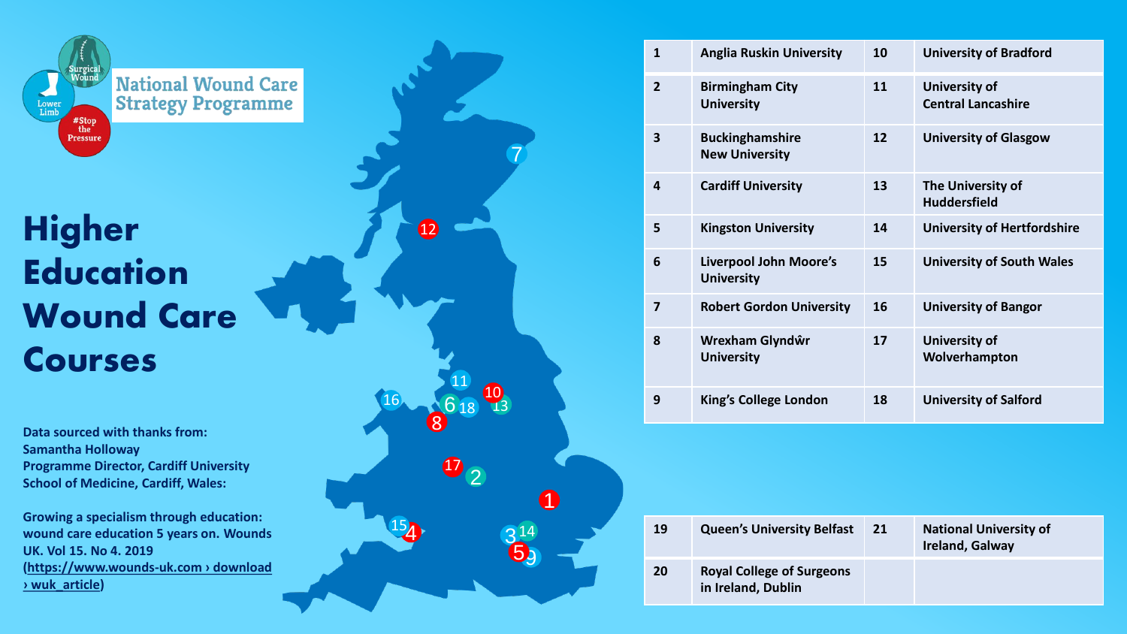

## **Higher Education Wound Care Courses**

**Data sourced with thanks from: Samantha Holloway Programme Director, Cardiff University School of Medicine, Cardiff, Wales:**

**Growing a specialism through education: wound care education 5 years on. Wounds UK. Vol 15. No 4. 2019 [\(https://www.wounds](https://www.wounds-uk.com/download/wuk_article/8109) -uk.com › download › wuk\_article )**

| $\overline{7}$                             |  |
|--------------------------------------------|--|
| $\boldsymbol{\Phi}$                        |  |
| 8 11 12<br>16<br>$\overline{\mathbf{D}}_2$ |  |
| $\bullet$<br>154<br>$\frac{3^{14}}{5}$     |  |

| $\mathbf{1}$   | <b>Anglia Ruskin University</b>                    | 10 | <b>University of Bradford</b>                     |
|----------------|----------------------------------------------------|----|---------------------------------------------------|
| $\overline{2}$ | <b>Birmingham City</b><br><b>University</b>        | 11 | <b>University of</b><br><b>Central Lancashire</b> |
| 3              | <b>Buckinghamshire</b><br><b>New University</b>    | 12 | <b>University of Glasgow</b>                      |
| 4              | <b>Cardiff University</b>                          | 13 | The University of<br><b>Huddersfield</b>          |
| 5              | <b>Kingston University</b>                         | 14 | <b>University of Hertfordshire</b>                |
| 6              | <b>Liverpool John Moore's</b><br><b>University</b> | 15 | <b>University of South Wales</b>                  |
| 7              | <b>Robert Gordon University</b>                    | 16 | <b>University of Bangor</b>                       |
| 8              | Wrexham Glyndŵr<br><b>University</b>               | 17 | <b>University of</b><br>Wolverhampton             |
| 9              | King's College London                              | 18 | <b>University of Salford</b>                      |
|                |                                                    |    |                                                   |

| ว 14 |    | 19                                                     | <b>Queen's University Belfast</b> | 21 | <b>National University of</b><br><b>Ireland, Galway</b> |
|------|----|--------------------------------------------------------|-----------------------------------|----|---------------------------------------------------------|
|      | 20 | <b>Royal College of Surgeons</b><br>in Ireland, Dublin |                                   |    |                                                         |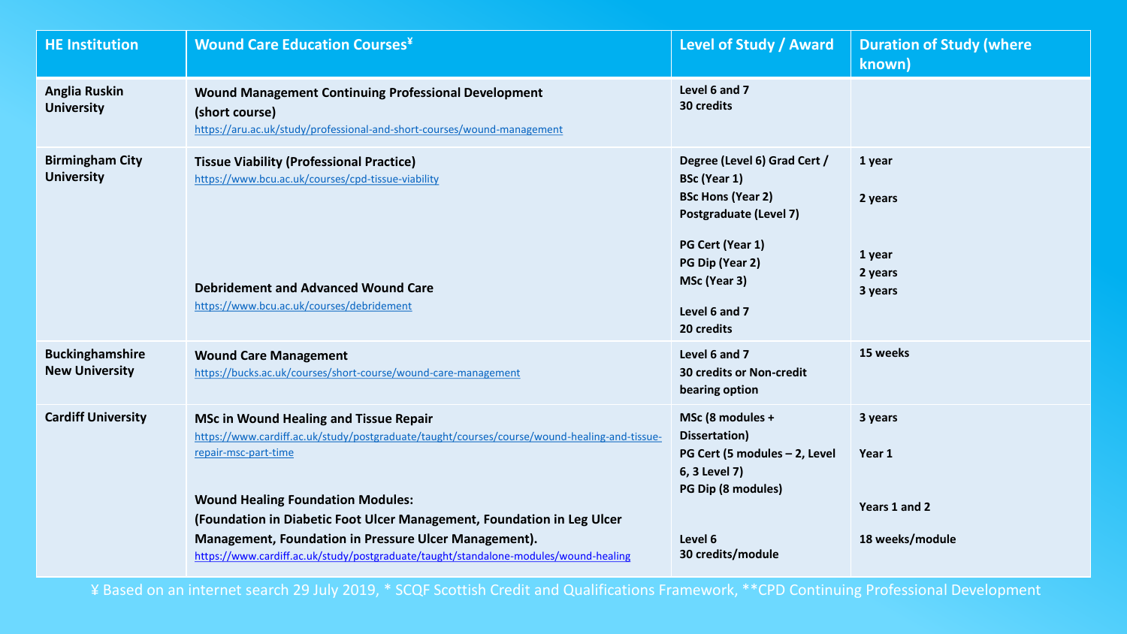| <b>HE Institution</b>                           | <b>Wound Care Education Courses</b> ¥                                                                                                                                                                                                                                                                                                                                                                                                        | Level of Study / Award                                                                                                                                                                                 | <b>Duration of Study (where</b><br>known)             |
|-------------------------------------------------|----------------------------------------------------------------------------------------------------------------------------------------------------------------------------------------------------------------------------------------------------------------------------------------------------------------------------------------------------------------------------------------------------------------------------------------------|--------------------------------------------------------------------------------------------------------------------------------------------------------------------------------------------------------|-------------------------------------------------------|
| <b>Anglia Ruskin</b><br><b>University</b>       | <b>Wound Management Continuing Professional Development</b><br>(short course)<br>https://aru.ac.uk/study/professional-and-short-courses/wound-management                                                                                                                                                                                                                                                                                     | Level 6 and 7<br>30 credits                                                                                                                                                                            |                                                       |
| <b>Birmingham City</b><br><b>University</b>     | <b>Tissue Viability (Professional Practice)</b><br>https://www.bcu.ac.uk/courses/cpd-tissue-viability<br><b>Debridement and Advanced Wound Care</b><br>https://www.bcu.ac.uk/courses/debridement                                                                                                                                                                                                                                             | Degree (Level 6) Grad Cert /<br><b>BSc (Year 1)</b><br><b>BSc Hons (Year 2)</b><br><b>Postgraduate (Level 7)</b><br>PG Cert (Year 1)<br>PG Dip (Year 2)<br>MSc (Year 3)<br>Level 6 and 7<br>20 credits | 1 year<br>2 years<br>1 year<br>2 years<br>3 years     |
| <b>Buckinghamshire</b><br><b>New University</b> | <b>Wound Care Management</b><br>https://bucks.ac.uk/courses/short-course/wound-care-management                                                                                                                                                                                                                                                                                                                                               | Level 6 and 7<br><b>30 credits or Non-credit</b><br>bearing option                                                                                                                                     | 15 weeks                                              |
| <b>Cardiff University</b>                       | <b>MSc in Wound Healing and Tissue Repair</b><br>https://www.cardiff.ac.uk/study/postgraduate/taught/courses/course/wound-healing-and-tissue-<br>repair-msc-part-time<br><b>Wound Healing Foundation Modules:</b><br>(Foundation in Diabetic Foot Ulcer Management, Foundation in Leg Ulcer<br>Management, Foundation in Pressure Ulcer Management).<br>https://www.cardiff.ac.uk/study/postgraduate/taught/standalone-modules/wound-healing | MSc (8 modules +<br>Dissertation)<br>PG Cert (5 modules - 2, Level<br>6, 3 Level 7)<br>PG Dip (8 modules)<br>Level 6<br>30 credits/module                                                              | 3 years<br>Year 1<br>Years 1 and 2<br>18 weeks/module |

¥ Based on an internet search 29 July 2019, \* SCQF Scottish Credit and Qualifications Framework, \*\*CPD Continuing Professional Development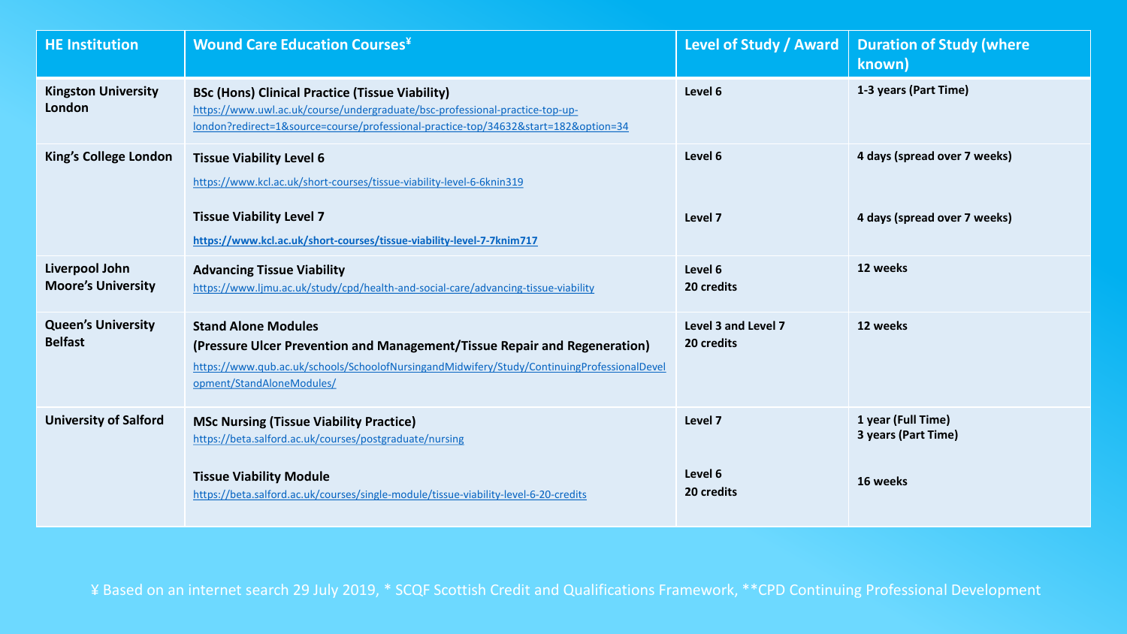| <b>HE Institution</b>                       | <b>Wound Care Education Courses<sup>¥</sup></b>                                                                                                                                                                                     | Level of Study / Award            | <b>Duration of Study (where</b><br>known)                    |
|---------------------------------------------|-------------------------------------------------------------------------------------------------------------------------------------------------------------------------------------------------------------------------------------|-----------------------------------|--------------------------------------------------------------|
| <b>Kingston University</b><br>London        | <b>BSc (Hons) Clinical Practice (Tissue Viability)</b><br>https://www.uwl.ac.uk/course/undergraduate/bsc-professional-practice-top-up-<br>london?redirect=1&source=course/professional-practice-top/34632&start=182&option=34       | Level 6                           | 1-3 years (Part Time)                                        |
| <b>King's College London</b>                | <b>Tissue Viability Level 6</b><br>https://www.kcl.ac.uk/short-courses/tissue-viability-level-6-6knin319<br><b>Tissue Viability Level 7</b>                                                                                         | Level 6<br>Level 7                | 4 days (spread over 7 weeks)<br>4 days (spread over 7 weeks) |
|                                             | https://www.kcl.ac.uk/short-courses/tissue-viability-level-7-7knim717                                                                                                                                                               |                                   |                                                              |
| Liverpool John<br><b>Moore's University</b> | <b>Advancing Tissue Viability</b><br>https://www.ljmu.ac.uk/study/cpd/health-and-social-care/advancing-tissue-viability                                                                                                             | Level 6<br>20 credits             | 12 weeks                                                     |
| <b>Queen's University</b><br><b>Belfast</b> | <b>Stand Alone Modules</b><br>(Pressure Ulcer Prevention and Management/Tissue Repair and Regeneration)<br>https://www.qub.ac.uk/schools/SchoolofNursingandMidwifery/Study/ContinuingProfessionalDevel<br>opment/StandAloneModules/ | Level 3 and Level 7<br>20 credits | 12 weeks                                                     |
| <b>University of Salford</b>                | <b>MSc Nursing (Tissue Viability Practice)</b><br>https://beta.salford.ac.uk/courses/postgraduate/nursing                                                                                                                           | Level 7                           | 1 year (Full Time)<br>3 years (Part Time)                    |
|                                             | <b>Tissue Viability Module</b><br>https://beta.salford.ac.uk/courses/single-module/tissue-viability-level-6-20-credits                                                                                                              | Level 6<br>20 credits             | 16 weeks                                                     |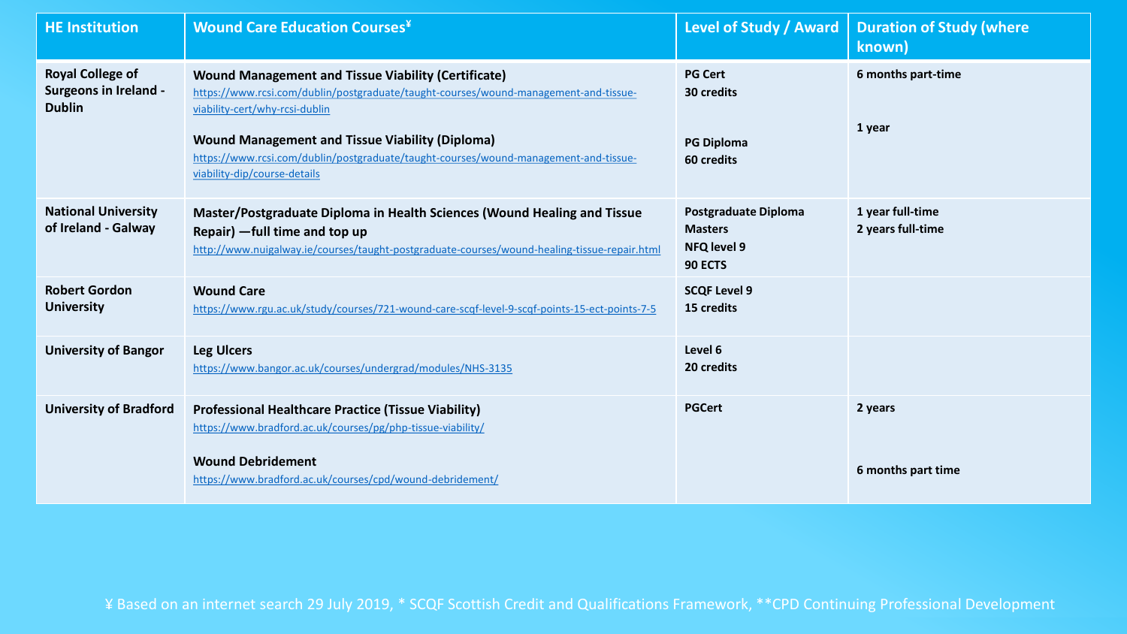| <b>HE Institution</b>                                                    | <b>Wound Care Education Courses</b> ¥                                                                                                                                                                                                                                                                                                                                  | <b>Level of Study / Award</b>                                                  | <b>Duration of Study (where</b><br>known) |
|--------------------------------------------------------------------------|------------------------------------------------------------------------------------------------------------------------------------------------------------------------------------------------------------------------------------------------------------------------------------------------------------------------------------------------------------------------|--------------------------------------------------------------------------------|-------------------------------------------|
| <b>Royal College of</b><br><b>Surgeons in Ireland -</b><br><b>Dublin</b> | <b>Wound Management and Tissue Viability (Certificate)</b><br>https://www.rcsi.com/dublin/postgraduate/taught-courses/wound-management-and-tissue-<br>viability-cert/why-rcsi-dublin<br><b>Wound Management and Tissue Viability (Diploma)</b><br>https://www.rcsi.com/dublin/postgraduate/taught-courses/wound-management-and-tissue-<br>viability-dip/course-details | <b>PG Cert</b><br>30 credits<br><b>PG Diploma</b><br>60 credits                | 6 months part-time<br>1 year              |
| <b>National University</b><br>of Ireland - Galway                        | Master/Postgraduate Diploma in Health Sciences (Wound Healing and Tissue<br>Repair) - full time and top up<br>http://www.nuigalway.ie/courses/taught-postgraduate-courses/wound-healing-tissue-repair.html                                                                                                                                                             | <b>Postgraduate Diploma</b><br><b>Masters</b><br><b>NFQ level 9</b><br>90 ECTS | 1 year full-time<br>2 years full-time     |
| <b>Robert Gordon</b><br><b>University</b>                                | <b>Wound Care</b><br>https://www.rgu.ac.uk/study/courses/721-wound-care-scqf-level-9-scqf-points-15-ect-points-7-5                                                                                                                                                                                                                                                     | <b>SCQF Level 9</b><br>15 credits                                              |                                           |
| <b>University of Bangor</b>                                              | <b>Leg Ulcers</b><br>https://www.bangor.ac.uk/courses/undergrad/modules/NHS-3135                                                                                                                                                                                                                                                                                       | Level 6<br>20 credits                                                          |                                           |
| <b>University of Bradford</b>                                            | <b>Professional Healthcare Practice (Tissue Viability)</b><br>https://www.bradford.ac.uk/courses/pg/php-tissue-viability/<br><b>Wound Debridement</b>                                                                                                                                                                                                                  | <b>PGCert</b>                                                                  | 2 years<br>6 months part time             |
|                                                                          | https://www.bradford.ac.uk/courses/cpd/wound-debridement/                                                                                                                                                                                                                                                                                                              |                                                                                |                                           |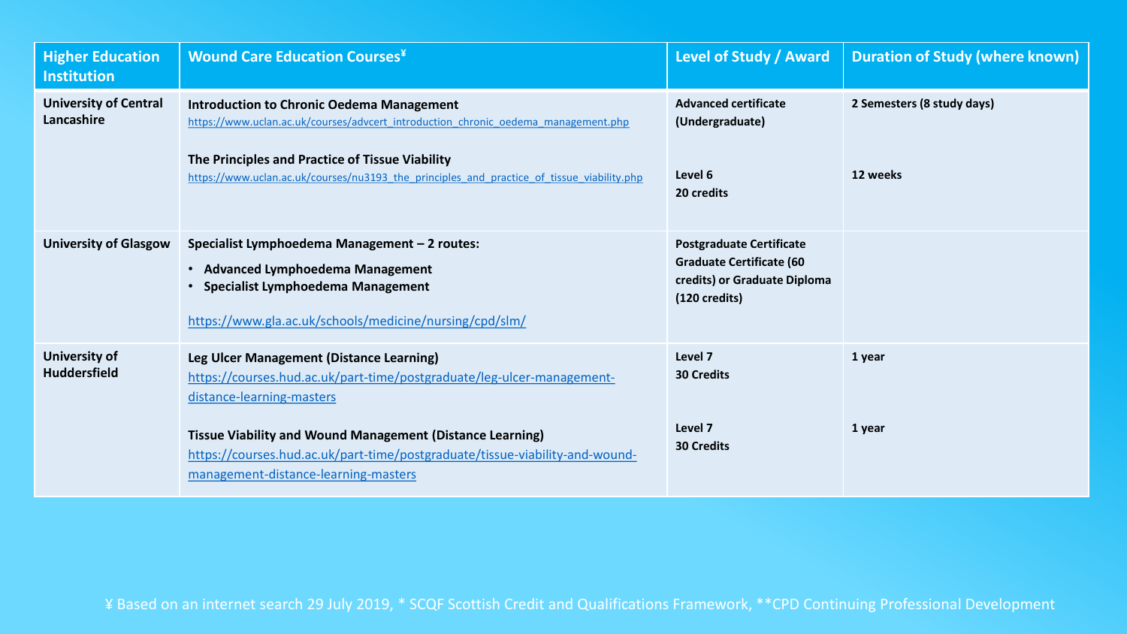| <b>Higher Education</b><br><b>Institution</b> | <b>Wound Care Education Courses</b> ¥                                                                                                                                                                                                                                                   | Level of Study / Award                                                                                                        | <b>Duration of Study (where known)</b> |
|-----------------------------------------------|-----------------------------------------------------------------------------------------------------------------------------------------------------------------------------------------------------------------------------------------------------------------------------------------|-------------------------------------------------------------------------------------------------------------------------------|----------------------------------------|
| <b>University of Central</b><br>Lancashire    | <b>Introduction to Chronic Oedema Management</b><br>https://www.uclan.ac.uk/courses/advcert introduction chronic oedema management.php<br>The Principles and Practice of Tissue Viability<br>https://www.uclan.ac.uk/courses/nu3193 the principles and practice of tissue viability.php | <b>Advanced certificate</b><br>(Undergraduate)<br>Level 6<br>20 credits                                                       | 2 Semesters (8 study days)<br>12 weeks |
| <b>University of Glasgow</b>                  | Specialist Lymphoedema Management - 2 routes:<br>• Advanced Lymphoedema Management<br>• Specialist Lymphoedema Management<br>https://www.gla.ac.uk/schools/medicine/nursing/cpd/slm/                                                                                                    | <b>Postgraduate Certificate</b><br><b>Graduate Certificate (60</b><br>credits) or Graduate Diploma<br>$(120 \text{ credits})$ |                                        |
| <b>University of</b><br><b>Huddersfield</b>   | Leg Ulcer Management (Distance Learning)<br>https://courses.hud.ac.uk/part-time/postgraduate/leg-ulcer-management-<br>distance-learning-masters<br><b>Tissue Viability and Wound Management (Distance Learning)</b>                                                                     | Level 7<br><b>30 Credits</b><br>Level 7                                                                                       | 1 year<br>1 year                       |
|                                               | https://courses.hud.ac.uk/part-time/postgraduate/tissue-viability-and-wound-<br>management-distance-learning-masters                                                                                                                                                                    | <b>30 Credits</b>                                                                                                             |                                        |